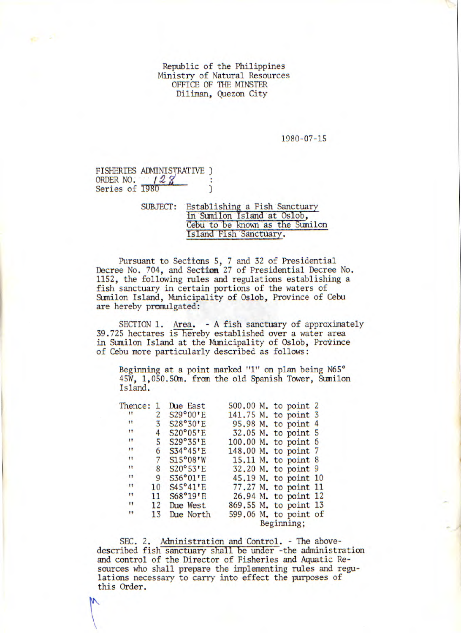Republic of the Philippines Ministry of Natural Resources OFFICE OF THE MINSTER Diliman, Quezon City

1980-07-15

FISHERIES ADMINISTRATIVE ) ORDER NO.  $128'$ Series of 1980

> SUBJECT: Establishing a Fish Sanctuary in Sumilon Island at Oslob, Cebu to be known as the Sumilon Island Fish Sanctuary.

Pursuant to Sections 5, 7 and 32 of Presidential Decree No. 704, and Section 27 of Presidential Decree No. 1152, the following rules and regulations establishing a fish sanctuary in certain portions of the waters of Sumilon Island, Municipality of Oslob, Province of Cebu are hereby promulgated:

SECTION 1. Area. - A fish sanctuary of approximately 39.725 hectares is hereby established over a water area in Sumilon Island at the Municipality of Oslob, Province of Cebu more particularly described as follows:

Beginning at a point marked "1" on plan being N65° 45W, 1,050.50m. from the old Spanish Tower, Sumilon Island.

| Thence:   |    | Due East  | 500.00 M. to point 2                |
|-----------|----|-----------|-------------------------------------|
|           | 2  | S29°00'E  | 141.75 M. to point 3                |
| n         | 3  | S28°30'E  | 95.98 M. to point 4                 |
| $\bullet$ | 4  | S20°05"E  | 32.05 M. to point 5                 |
| п         | 5  | S29°35"E  | 100.00 M. to point 6                |
| 11        | 6  | S34°45"E  | 148.00 M. to point 7                |
| Ħ         | 7  | S15°08'W  | 15.11 M. to point 8                 |
| Ħ         | 8  | S20°53"E  | 32.20 M. to point 9                 |
| 11        | 9  | S36°01"E  | 45.19 M. to point 10                |
| 11        | 10 | S45°41"E  | 77.27 M. to point 11                |
| 11        | 11 | S68°19'E  | 26.94 M. to point 12                |
| 11        | 12 | Due West  | 869.55 M. to point 13               |
| 11        | 13 | Due North | 599.06 M. to point of<br>Beginning; |
|           |    |           |                                     |

SEC. 2. Administration and Control. - The abovedescribed fish sanctuary shall be under -the administration and control of the Director of Fisheries and Aquatic Resources who shall prepare the implementing rules and regulations necessary to carry into effect the purposes of this Order.